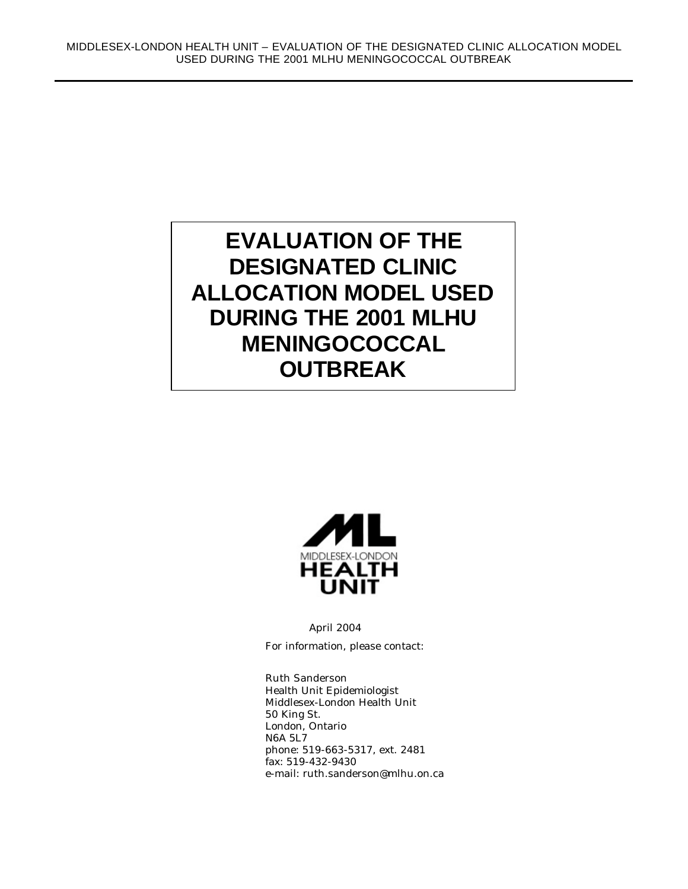# **EVALUATION OF THE DESIGNATED CLINIC ALLOCATION MODEL USED DURING THE 2001 MLHU MENINGOCOCCAL OUTBREAK**



April 2004

For information, please contact:

Ruth Sanderson Health Unit Epidemiologist Middlesex-London Health Unit 50 King St. London, Ontario N6A 5L7 phone: 519-663-5317, ext. 2481 fax: 519-432-9430 e-mail: ruth.sanderson@mlhu.on.ca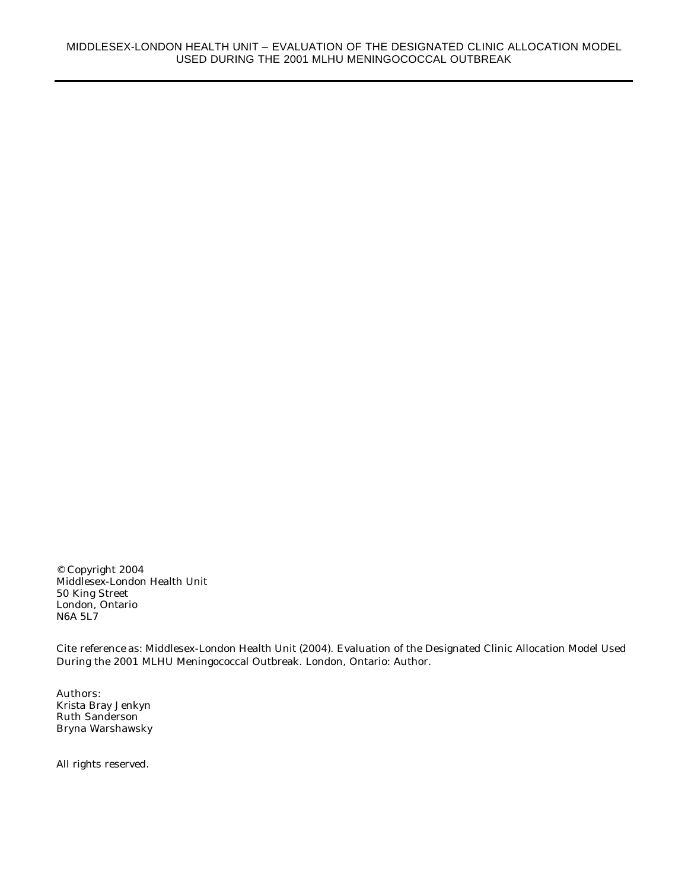© Copyright 2004 Middlesex-London Health Unit 50 King Street London, Ontario N6A 5L7

Cite reference as: Middlesex-London Health Unit (2004). Evaluation of the Designated Clinic Allocation Model Used During the 2001 MLHU Meningococcal Outbreak. London, Ontario: Author.

Authors: Krista Bray Jenkyn Ruth Sanderson Bryna Warshawsky

All rights reserved.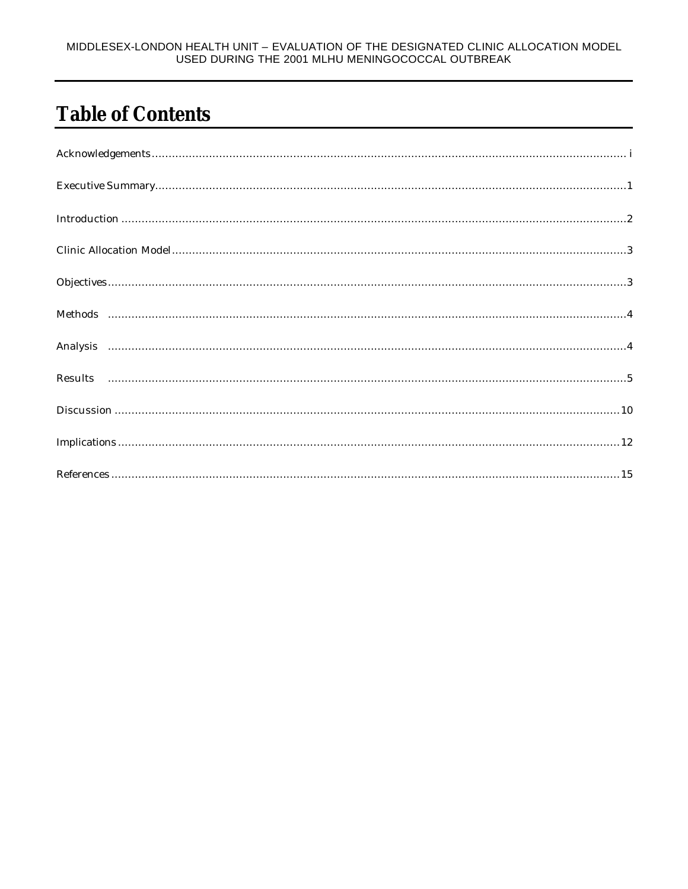#### MIDDLESEX-LONDON HEALTH UNIT - EVALUATION OF THE DESIGNATED CLINIC ALLOCATION MODEL USED DURING THE 2001 MLHU MENINGOCOCCAL OUTBREAK

# **Table of Contents**

| $\begin{minipage}[c]{0.9\linewidth} \begin{minipage}[c]{0.9\linewidth} \begin{minipage}[c]{0.9\linewidth} \begin{minipage}[c]{0.9\linewidth} \begin{minipage}[c]{0.9\linewidth} \end{minipage}[c]{0.9\linewidth} \end{minipage}[c]{0.9\linewidth} \begin{minipage}[c]{0.9\linewidth} \begin{minipage}[c]{0.9\linewidth} \end{minipage}[c]{0.9\linewidth} \end{minipage}[c]{0.9\linewidth} \end{minipage}[c]{0.9\linewidth} \begin{minipage}[c]{0.9\linewidth} \begin{minipage}[c]{0.9\linewidth} \end{minipage}[c]{0$ |
|-----------------------------------------------------------------------------------------------------------------------------------------------------------------------------------------------------------------------------------------------------------------------------------------------------------------------------------------------------------------------------------------------------------------------------------------------------------------------------------------------------------------------|
|                                                                                                                                                                                                                                                                                                                                                                                                                                                                                                                       |
|                                                                                                                                                                                                                                                                                                                                                                                                                                                                                                                       |
|                                                                                                                                                                                                                                                                                                                                                                                                                                                                                                                       |
|                                                                                                                                                                                                                                                                                                                                                                                                                                                                                                                       |
|                                                                                                                                                                                                                                                                                                                                                                                                                                                                                                                       |
|                                                                                                                                                                                                                                                                                                                                                                                                                                                                                                                       |
|                                                                                                                                                                                                                                                                                                                                                                                                                                                                                                                       |
|                                                                                                                                                                                                                                                                                                                                                                                                                                                                                                                       |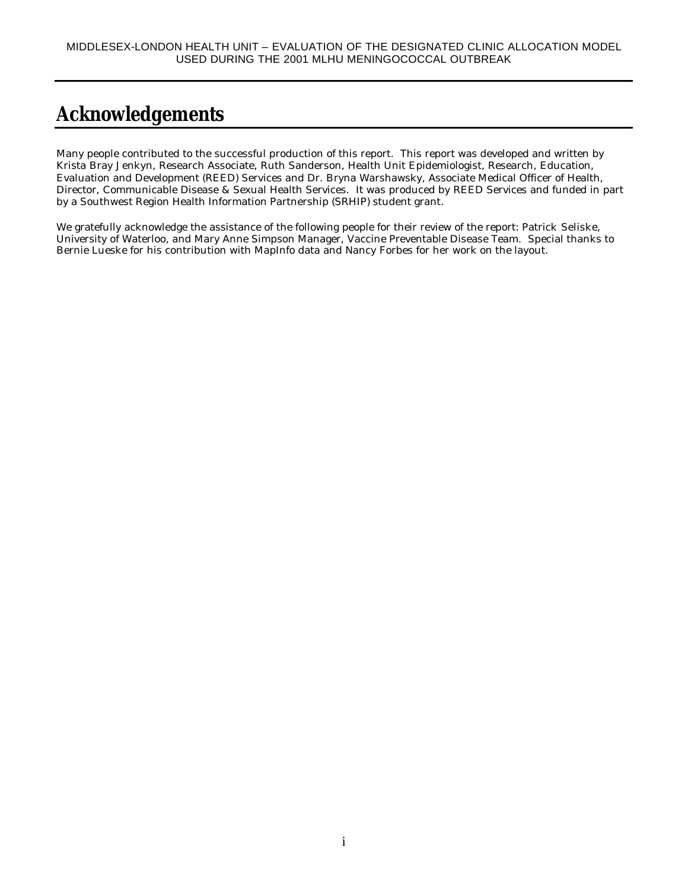## **Acknowledgements**

Many people contributed to the successful production of this report. This report was developed and written by Krista Bray Jenkyn, Research Associate, Ruth Sanderson, Health Unit Epidemiologist, Research, Education, Evaluation and Development (REED) Services and Dr. Bryna Warshawsky, Associate Medical Officer of Health, Director, Communicable Disease & Sexual Health Services. It was produced by REED Services and funded in part by a Southwest Region Health Information Partnership (SRHIP) student grant.

We gratefully acknowledge the assistance of the following people for their review of the report: Patrick Seliske, University of Waterloo, and Mary Anne Simpson Manager, Vaccine Preventable Disease Team. Special thanks to Bernie Lueske for his contribution with MapInfo data and Nancy Forbes for her work on the layout.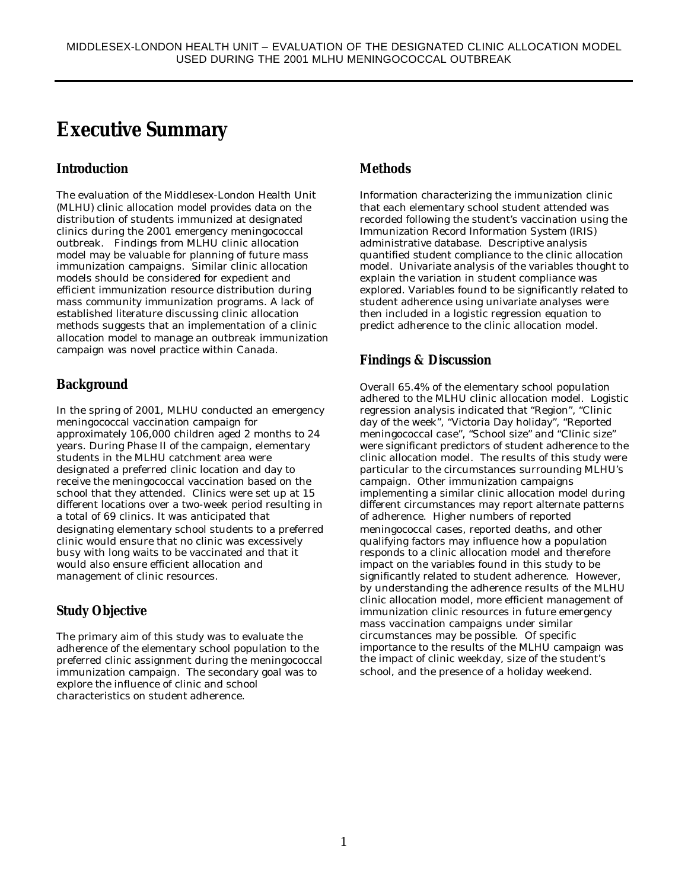#### **Executive Summary**

#### **Introduction**

The evaluation of the Middlesex-London Health Unit (MLHU) clinic allocation model provides data on the distribution of students immunized at designated clinics during the 2001 emergency meningococcal outbreak. Findings from MLHU clinic allocation model may be valuable for planning of future mass immunization campaigns. Similar clinic allocation models should be considered for expedient and efficient immunization resource distribution during mass community immunization programs. A lack of established literature discussing clinic allocation methods suggests that an implementation of a clinic allocation model to manage an outbreak immunization campaign was novel practice within Canada.

#### **Background**

In the spring of 2001, MLHU conducted an emergency meningococcal vaccination campaign for approximately 106,000 children aged 2 months to 24 years. During Phase II of the campaign, elementary students in the MLHU catchment area were designated a preferred clinic location and day to receive the meningococcal vaccination based on the school that they attended. Clinics were set up at 15 different locations over a two-week period resulting in a total of 69 clinics. It was anticipated that designating elementary school students to a preferred clinic would ensure that no clinic was excessively busy with long waits to be vaccinated and that it would also ensure efficient allocation and management of clinic resources.

#### **Study Objective**

The primary aim of this study was to evaluate the adherence of the elementary school population to the preferred clinic assignment during the meningococcal immunization campaign. The secondary goal was to explore the influence of clinic and school characteristics on student adherence.

#### **Methods**

Information characterizing the immunization clinic that each elementary school student attended was recorded following the student's vaccination using the Immunization Record Information System (IRIS) administrative database. Descriptive analysis quantified student compliance to the clinic allocation model. Univariate analysis of the variables thought to explain the variation in student compliance was explored. Variables found to be significantly related to student adherence using univariate analyses were then included in a logistic regression equation to predict adherence to the clinic allocation model.

#### **Findings & Discussion**

Overall 65.4% of the elementary school population adhered to the MLHU clinic allocation model. Logistic regression analysis indicated that "Region", "Clinic day of the week", "Victoria Day holiday", "Reported meningococcal case", "School size" and "Clinic size" were significant predictors of student adherence to the clinic allocation model. The results of this study were particular to the circumstances surrounding MLHU's campaign. Other immunization campaigns implementing a similar clinic allocation model during different circumstances may report alternate patterns of adherence. Higher numbers of reported meningococcal cases, reported deaths, and other qualifying factors may influence how a population responds to a clinic allocation model and therefore impact on the variables found in this study to be significantly related to student adherence. However, by understanding the adherence results of the MLHU clinic allocation model, more efficient management of immunization clinic resources in future emergency mass vaccination campaigns under similar circumstances may be possible. Of specific importance to the results of the MLHU campaign was the impact of clinic weekday, size of the student's school, and the presence of a holiday weekend.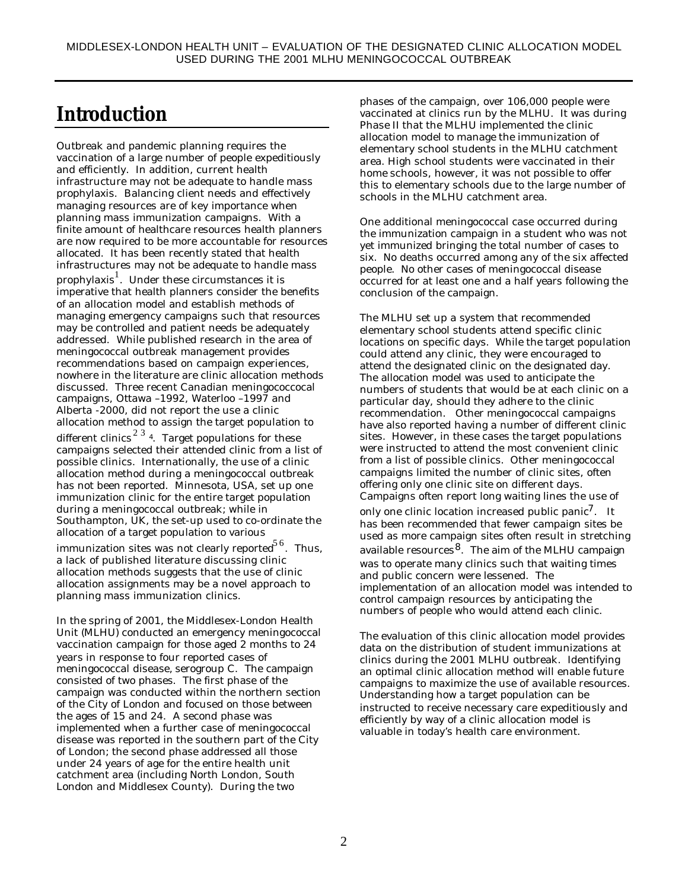## **Introduction**

Outbreak and pandemic planning requires the vaccination of a large number of people expeditiously and efficiently. In addition, current health infrastructure may not be adequate to handle mass prophylaxis. Balancing client needs and effectively managing resources are of key importance when planning mass immunization campaigns. With a finite amount of healthcare resources health planners are now required to be more accountable for resources allocated. It has been recently stated that health infrastructures may not be adequate to handle mass prophylaxis<sup>1</sup>. Under these circumstances it is imperative that health planners consider the benefits of an allocation model and establish methods of managing emergency campaigns such that resources may be controlled and patient needs be adequately addressed. While published research in the area of meningococcal outbreak management provides recommendations based on campaign experiences, nowhere in the literature are clinic allocation methods discussed. Three recent Canadian meningococcocal campaigns, Ottawa –1992, Waterloo –1997 and Alberta -2000, did not report the use a clinic allocation method to assign the target population to different clinics  $2^3$  4. Target populations for these campaigns selected their attended clinic from a list of possible clinics. Internationally, the use of a clinic allocation method during a meningococcal outbreak has not been reported. Minnesota, USA, set up one immunization clinic for the entire target population during a meningococcal outbreak; while in Southampton, UK, the set-up used to co-ordinate the allocation of a target population to various

immunization sites was not clearly reported<sup>56</sup>. Thus, a lack of published literature discussing clinic allocation methods suggests that the use of clinic allocation assignments may be a novel approach to planning mass immunization clinics.

In the spring of 2001, the Middlesex-London Health Unit (MLHU) conducted an emergency meningococcal vaccination campaign for those aged 2 months to 24 years in response to four reported cases of meningococcal disease, serogroup C. The campaign consisted of two phases. The first phase of the campaign was conducted within the northern section of the City of London and focused on those between the ages of 15 and 24. A second phase was implemented when a further case of meningococcal disease was reported in the southern part of the City of London; the second phase addressed all those under 24 years of age for the entire health unit catchment area (including North London, South London and Middlesex County). During the two

phases of the campaign, over 106,000 people were vaccinated at clinics run by the MLHU. It was during Phase II that the MLHU implemented the clinic allocation model to manage the immunization of elementary school students in the MLHU catchment area. High school students were vaccinated in their home schools, however, it was not possible to offer this to elementary schools due to the large number of schools in the MLHU catchment area.

One additional meningococcal case occurred during the immunization campaign in a student who was not yet immunized bringing the total number of cases to six. No deaths occurred among any of the six affected people. No other cases of meningococcal disease occurred for at least one and a half years following the conclusion of the campaign.

The MLHU set up a system that recommended elementary school students attend specific clinic locations on specific days. While the target population could attend any clinic, they were encouraged to attend the designated clinic on the designated day. The allocation model was used to anticipate the numbers of students that would be at each clinic on a particular day, should they adhere to the clinic recommendation. Other meningococcal campaigns have also reported having a number of different clinic sites. However, in these cases the target populations were instructed to attend the most convenient clinic from a list of possible clinics. Other meningococcal campaigns limited the number of clinic sites, often offering only one clinic site on different days. Campaigns often report long waiting lines the use of only one clinic location increased public panic<sup>7</sup>. It has been recommended that fewer campaign sites be used as more campaign sites often result in stretching available resources $8$ . The aim of the MLHU campaign was to operate many clinics such that waiting times and public concern were lessened. The implementation of an allocation model was intended to control campaign resources by anticipating the numbers of people who would attend each clinic.

The evaluation of this clinic allocation model provides data on the distribution of student immunizations at clinics during the 2001 MLHU outbreak. Identifying an optimal clinic allocation method will enable future campaigns to maximize the use of available resources. Understanding how a target population can be instructed to receive necessary care expeditiously and efficiently by way of a clinic allocation model is valuable in today's health care environment.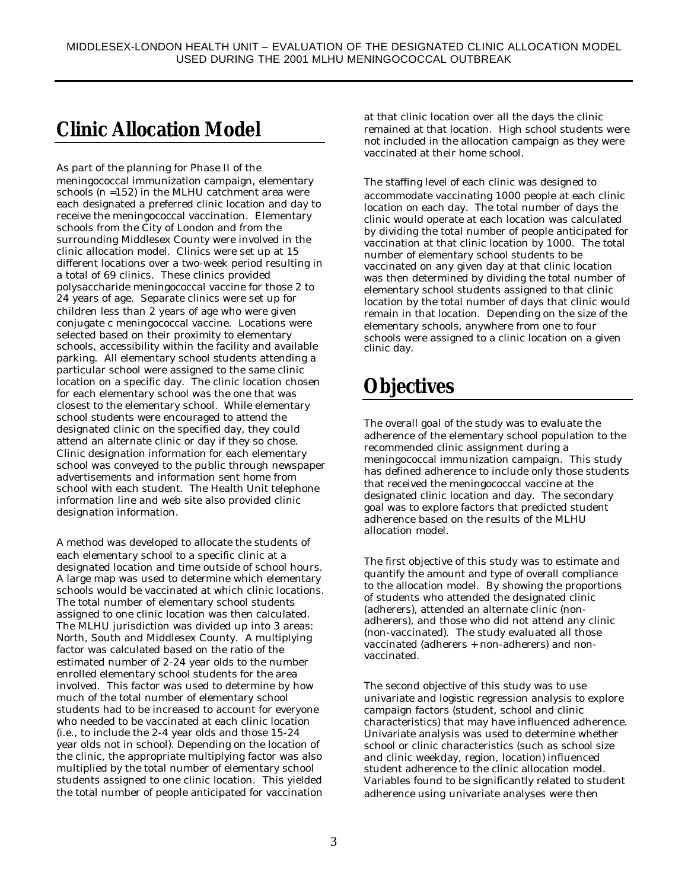## **Clinic Allocation Model**

As part of the planning for Phase II of the meningococcal immunization campaign, elementary schools (n =152) in the MLHU catchment area were each designated a preferred clinic location and day to receive the meningococcal vaccination. Elementary schools from the City of London and from the surrounding Middlesex County were involved in the clinic allocation model. Clinics were set up at 15 different locations over a two-week period resulting in a total of 69 clinics. These clinics provided polysaccharide meningococcal vaccine for those 2 to 24 years of age. Separate clinics were set up for children less than 2 years of age who were given conjugate c meningococcal vaccine. Locations were selected based on their proximity to elementary schools, accessibility within the facility and available parking. All elementary school students attending a particular school were assigned to the same clinic location on a specific day. The clinic location chosen for each elementary school was the one that was closest to the elementary school. While elementary school students were encouraged to attend the designated clinic on the specified day, they could attend an alternate clinic or day if they so chose. Clinic designation information for each elementary school was conveyed to the public through newspaper advertisements and information sent home from school with each student. The Health Unit telephone information line and web site also provided clinic designation information.

A method was developed to allocate the students of each elementary school to a specific clinic at a designated location and time outside of school hours. A large map was used to determine which elementary schools would be vaccinated at which clinic locations. The total number of elementary school students assigned to one clinic location was then calculated. The MLHU jurisdiction was divided up into 3 areas: North, South and Middlesex County. A multiplying factor was calculated based on the ratio of the estimated number of 2-24 year olds to the number enrolled elementary school students for the area involved. This factor was used to determine by how much of the total number of elementary school students had to be increased to account for everyone who needed to be vaccinated at each clinic location (i.e., to include the 2-4 year olds and those 15-24 year olds not in school). Depending on the location of the clinic, the appropriate multiplying factor was also multiplied by the total number of elementary school students assigned to one clinic location. This yielded the total number of people anticipated for vaccination

at that clinic location over all the days the clinic remained at that location. High school students were not included in the allocation campaign as they were vaccinated at their home school.

The staffing level of each clinic was designed to accommodate vaccinating 1000 people at each clinic location on each day. The total number of days the clinic would operate at each location was calculated by dividing the total number of people anticipated for vaccination at that clinic location by 1000. The total number of elementary school students to be vaccinated on any given day at that clinic location was then determined by dividing the total number of elementary school students assigned to that clinic location by the total number of days that clinic would remain in that location. Depending on the size of the elementary schools, anywhere from one to four schools were assigned to a clinic location on a given clinic day.

## **Objectives**

The overall goal of the study was to evaluate the adherence of the elementary school population to the recommended clinic assignment during a meningococcal immunization campaign. This study has defined adherence to include only those students that received the meningococcal vaccine at the designated clinic location and day. The secondary goal was to explore factors that predicted student adherence based on the results of the MLHU allocation model.

The first objective of this study was to estimate and quantify the amount and type of overall compliance to the allocation model. By showing the proportions of students who attended the designated clinic (adherers), attended an alternate clinic (nonadherers), and those who did not attend any clinic (non-vaccinated). The study evaluated all those vaccinated (adherers + non-adherers) and nonvaccinated.

The second objective of this study was to use univariate and logistic regression analysis to explore campaign factors (student, school and clinic characteristics) that may have influenced adherence. Univariate analysis was used to determine whether school or clinic characteristics (such as school size and clinic weekday, region, location) influenced student adherence to the clinic allocation model. Variables found to be significantly related to student adherence using univariate analyses were then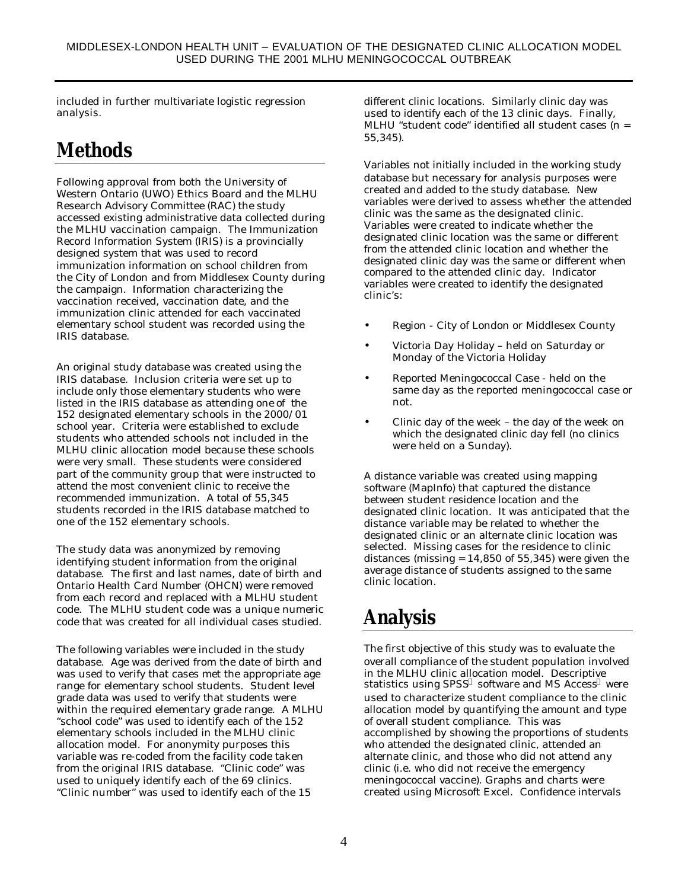included in further multivariate logistic regression analysis.

## **Methods**

Following approval from both the University of Western Ontario (UWO) Ethics Board and the MLHU Research Advisory Committee (RAC) the study accessed existing administrative data collected during the MLHU vaccination campaign. The Immunization Record Information System (IRIS) is a provincially designed system that was used to record immunization information on school children from the City of London and from Middlesex County during the campaign. Information characterizing the vaccination received, vaccination date, and the immunization clinic attended for each vaccinated elementary school student was recorded using the IRIS database.

An original study database was created using the IRIS database. Inclusion criteria were set up to include only those elementary students who were listed in the IRIS database as attending one of the 152 designated elementary schools in the 2000/01 school year. Criteria were established to exclude students who attended schools not included in the MLHU clinic allocation model because these schools were very small. These students were considered part of the community group that were instructed to attend the most convenient clinic to receive the recommended immunization. A total of 55,345 students recorded in the IRIS database matched to one of the 152 elementary schools.

The study data was anonymized by removing identifying student information from the original database. The first and last names, date of birth and Ontario Health Card Number (OHCN) were removed from each record and replaced with a MLHU student code. The MLHU student code was a unique numeric code that was created for all individual cases studied.

The following variables were included in the study database. Age was derived from the date of birth and was used to verify that cases met the appropriate age range for elementary school students. Student level grade data was used to verify that students were within the required elementary grade range. A MLHU "school code" was used to identify each of the 152 elementary schools included in the MLHU clinic allocation model. For anonymity purposes this variable was re-coded from the facility code taken from the original IRIS database. "Clinic code" was used to uniquely identify each of the 69 clinics. "Clinic number" was used to identify each of the 15

different clinic locations. Similarly clinic day was used to identify each of the 13 clinic days. Finally, MLHU "student code" identified all student cases (n = 55,345).

Variables not initially included in the working study database but necessary for analysis purposes were created and added to the study database. New variables were derived to assess whether the attended clinic was the same as the designated clinic. Variables were created to indicate whether the designated clinic location was the same or different from the attended clinic location and whether the designated clinic day was the same or different when compared to the attended clinic day. Indicator variables were created to identify the designated clinic's:

- Region City of London or Middlesex County
- Victoria Day Holiday held on Saturday or Monday of the Victoria Holiday
- Reported Meningococcal Case held on the same day as the reported meningococcal case or not.
- Clinic day of the week the day of the week on which the designated clinic day fell (no clinics were held on a Sunday).

A distance variable was created using mapping software (MapInfo) that captured the distance between student residence location and the designated clinic location. It was anticipated that the distance variable may be related to whether the designated clinic or an alternate clinic location was selected. Missing cases for the residence to clinic distances (missing  $= 14,850$  of 55,345) were given the average distance of students assigned to the same clinic location.

# **Analysis**

The first objective of this study was to evaluate the overall compliance of the student population involved in the MLHU clinic allocation model. Descriptive statistics using SPSS® software and MS Access® were used to characterize student compliance to the clinic allocation model by quantifying the amount and type of overall student compliance. This was accomplished by showing the proportions of students who attended the designated clinic, attended an alternate clinic, and those who did not attend any clinic (i.e. who did not receive the emergency meningococcal vaccine). Graphs and charts were created using Microsoft Excel. Confidence intervals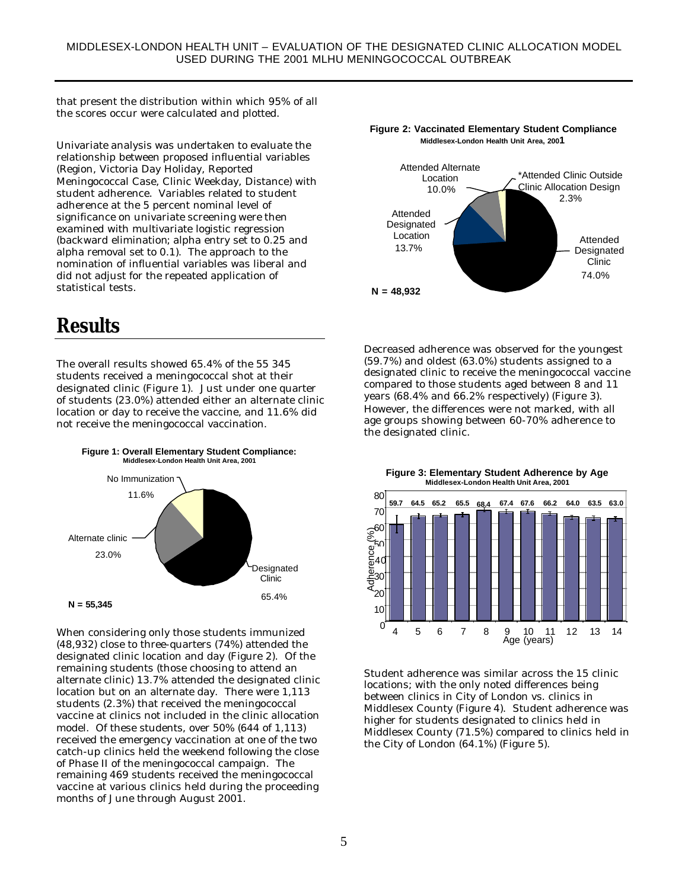that present the distribution within which 95% of all the scores occur were calculated and plotted.

Univariate analysis was undertaken to evaluate the relationship between proposed influential variables (Region, Victoria Day Holiday, Reported Meningococcal Case, Clinic Weekday, Distance) with student adherence. Variables related to student adherence at the 5 percent nominal level of significance on univariate screening were then examined with multivariate logistic regression (backward elimination; alpha entry set to 0.25 and alpha removal set to 0.1). The approach to the nomination of influential variables was liberal and did not adjust for the repeated application of statistical tests.

#### **Results**

The overall results showed 65.4% of the 55 345 students received a meningococcal shot at their designated clinic (Figure 1). Just under one quarter of students (23.0%) attended either an alternate clinic location or day to receive the vaccine, and 11.6% did not receive the meningococcal vaccination.



When considering only those students immunized (48,932) close to three-quarters (74%) attended the designated clinic location and day (Figure 2). Of the remaining students (those choosing to attend an alternate clinic) 13.7% attended the designated clinic location but on an alternate day. There were 1,113 students (2.3%) that received the meningococcal vaccine at clinics not included in the clinic allocation model. Of these students, over 50% (644 of 1,113) received the emergency vaccination at one of the two catch-up clinics held the weekend following the close of Phase II of the meningococcal campaign. The remaining 469 students received the meningococcal vaccine at various clinics held during the proceeding months of June through August 2001.



**Figure 2: Vaccinated Elementary Student Compliance**

Decreased adherence was observed for the youngest (59.7%) and oldest (63.0%) students assigned to a designated clinic to receive the meningococcal vaccine compared to those students aged between 8 and 11 years (68.4% and 66.2% respectively) (Figure 3). However, the differences were not marked, with all age groups showing between 60-70% adherence to the designated clinic.

**Figure 3: Elementary Student Adherence by Age**



Student adherence was similar across the 15 clinic locations; with the only noted differences being between clinics in City of London vs. clinics in Middlesex County (Figure 4). Student adherence was higher for students designated to clinics held in Middlesex County (71.5%) compared to clinics held in the City of London (64.1%) (Figure 5).

#### **Figure 1: Overall Elementary Student Compliance: Middlesex-London Health Unit Area, 2001**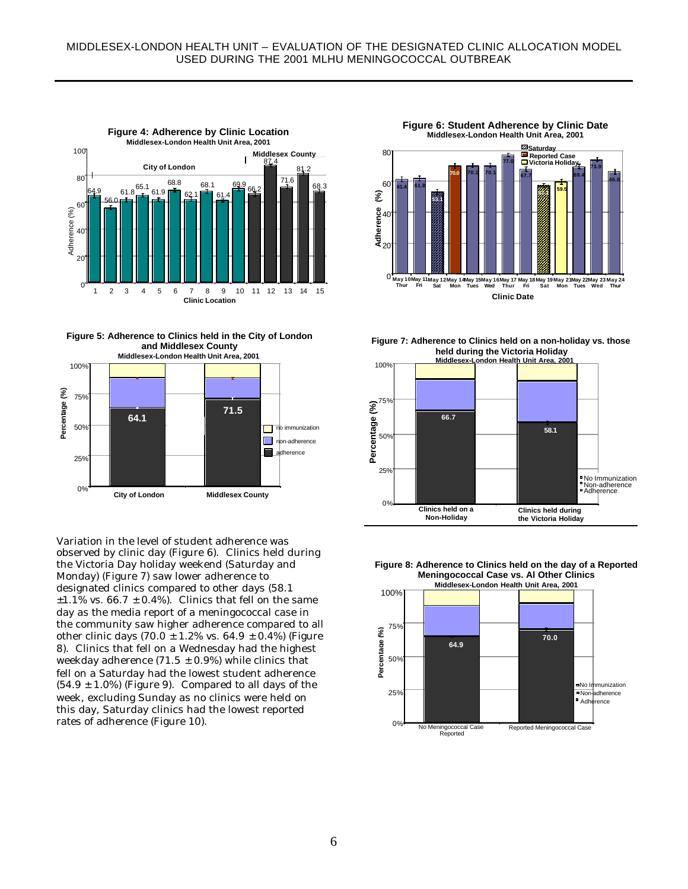

**Figure 5: Adherence to Clinics held in the City of London and Middlesex County**



Variation in the level of student adherence was observed by clinic day (Figure 6). Clinics held during the Victoria Day holiday weekend (Saturday and Monday) (Figure 7) saw lower adherence to designated clinics compared to other days (58.1  $\pm 1.1\%$  vs. 66.7  $\pm$  0.4%). Clinics that fell on the same day as the media report of a meningococcal case in the community saw higher adherence compared to all other clinic days (70.0  $\pm$  1.2% vs. 64.9  $\pm$  0.4%) (Figure 8). Clinics that fell on a Wednesday had the highest weekday adherence (71.5  $\pm$  0.9%) while clinics that fell on a Saturday had the lowest student adherence  $(54.9 \pm 1.0\%)$  (Figure 9). Compared to all days of the week, excluding Sunday as no clinics were held on this day, Saturday clinics had the lowest reported rates of adherence (Figure 10).

**Figure 6: Student Adherence by Clinic Date Middlesex-London Health Unit Area, 2001**



**Figure 7: Adherence to Clinics held on a non-holiday vs. those held during the Victoria Holiday**





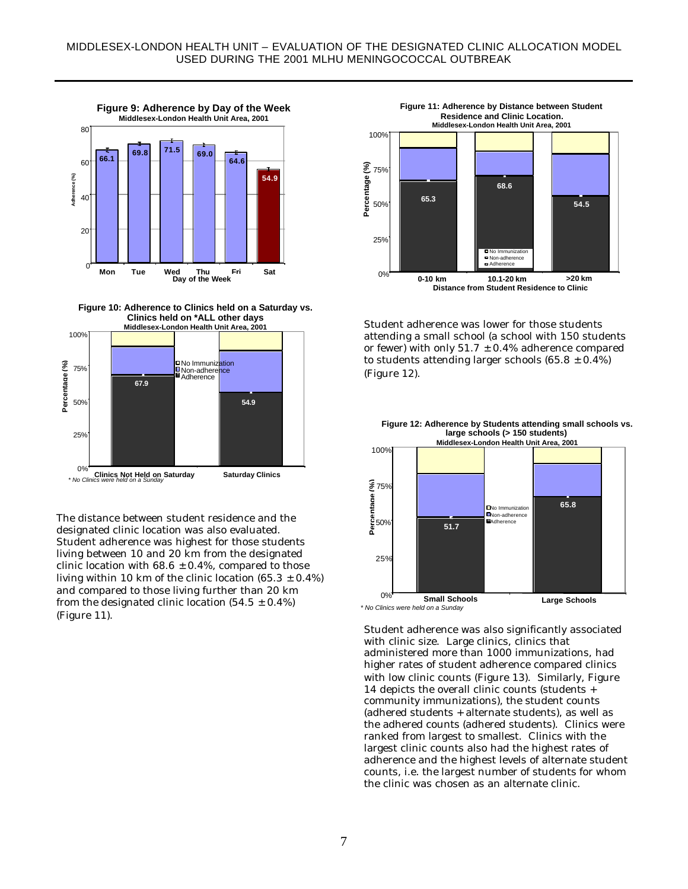

**Figure 10: Adherence to Clinics held on a Saturday vs. Clinics held on \*ALL other days**



The distance between student residence and the designated clinic location was also evaluated. Student adherence was highest for those students living between 10 and 20 km from the designated clinic location with  $68.6 \pm 0.4$ %, compared to those living within 10 km of the clinic location (65.3  $\pm$  0.4%) and compared to those living further than 20 km from the designated clinic location  $(54.5 \pm 0.4\%)$ (Figure 11).



Student adherence was lower for those students attending a small school (a school with 150 students or fewer) with only  $51.7 \pm 0.4\%$  adherence compared to students attending larger schools  $(65.8 \pm 0.4\%)$ (Figure 12).



**Figure 12: Adherence by Students attending small schools vs. large schools (> 150 students)**

Student adherence was also significantly associated with clinic size. Large clinics, clinics that administered more than 1000 immunizations, had higher rates of student adherence compared clinics with low clinic counts (Figure 13). Similarly, Figure 14 depicts the overall clinic counts (students + community immunizations), the student counts (adhered students + alternate students), as well as the adhered counts (adhered students). Clinics were ranked from largest to smallest. Clinics with the largest clinic counts also had the highest rates of adherence and the highest levels of alternate student counts, i.e. the largest number of students for whom the clinic was chosen as an alternate clinic.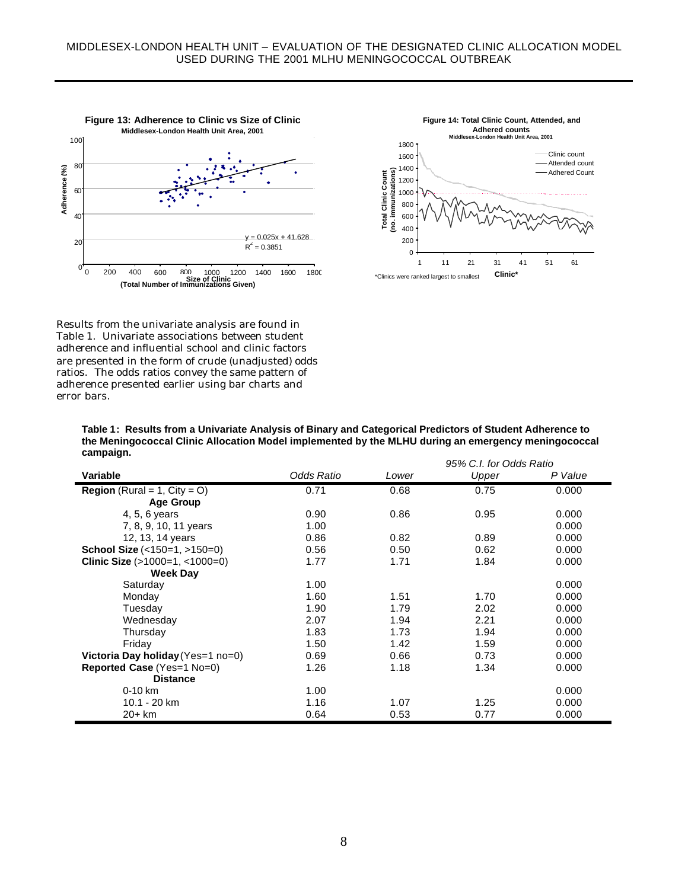



Results from the univariate analysis are found in Table 1. Univariate associations between student adherence and influential school and clinic factors are presented in the form of crude (unadjusted) odds ratios. The odds ratios convey the same pattern of adherence presented earlier using bar charts and error bars.

**Table 1: Results from a Univariate Analysis of Binary and Categorical Predictors of Student Adherence to the Meningococcal Clinic Allocation Model implemented by the MLHU during an emergency meningococcal campaign.**

|                                        |            | 95% C.I. for Odds Ratio |       |         |  |
|----------------------------------------|------------|-------------------------|-------|---------|--|
| Variable                               | Odds Ratio | Lower                   | Upper | P Value |  |
| <b>Region</b> (Rural = 1, $City = O$ ) | 0.71       | 0.68                    | 0.75  | 0.000   |  |
| <b>Age Group</b>                       |            |                         |       |         |  |
| 4, 5, 6 years                          | 0.90       | 0.86                    | 0.95  | 0.000   |  |
| 7, 8, 9, 10, 11 years                  | 1.00       |                         |       | 0.000   |  |
| 12, 13, 14 years                       | 0.86       | 0.82                    | 0.89  | 0.000   |  |
| <b>School Size</b> $($ <150=1, >150=0) | 0.56       | 0.50                    | 0.62  | 0.000   |  |
| Clinic Size $(>1000=1, <1000=0)$       | 1.77       | 1.71                    | 1.84  | 0.000   |  |
| <b>Week Day</b>                        |            |                         |       |         |  |
| Saturday                               | 1.00       |                         |       | 0.000   |  |
| Monday                                 | 1.60       | 1.51                    | 1.70  | 0.000   |  |
| Tuesday                                | 1.90       | 1.79                    | 2.02  | 0.000   |  |
| Wednesday                              | 2.07       | 1.94                    | 2.21  | 0.000   |  |
| Thursday                               | 1.83       | 1.73                    | 1.94  | 0.000   |  |
| Friday                                 | 1.50       | 1.42                    | 1.59  | 0.000   |  |
| Victoria Day holiday (Yes=1 no=0)      | 0.69       | 0.66                    | 0.73  | 0.000   |  |
| Reported Case (Yes=1 No=0)             | 1.26       | 1.18                    | 1.34  | 0.000   |  |
| <b>Distance</b>                        |            |                         |       |         |  |
| $0-10$ km                              | 1.00       |                         |       | 0.000   |  |
| 10.1 - 20 km                           | 1.16       | 1.07                    | 1.25  | 0.000   |  |
| $20+km$                                | 0.64       | 0.53                    | 0.77  | 0.000   |  |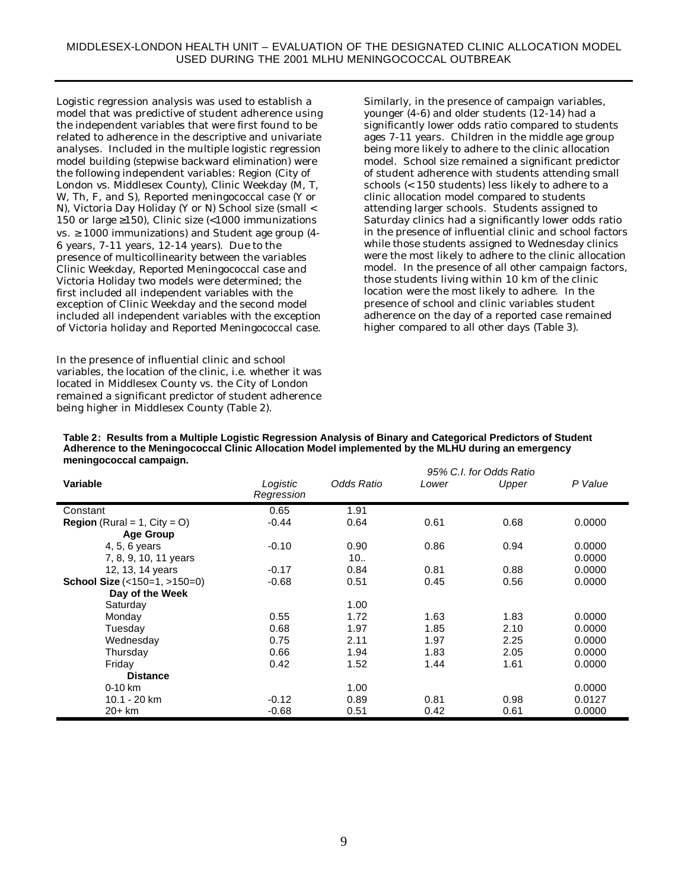Logistic regression analysis was used to establish a model that was predictive of student adherence using the independent variables that were first found to be related to adherence in the descriptive and univariate analyses. Included in the multiple logistic regression model building (stepwise backward elimination) were the following independent variables: Region (City of London vs. Middlesex County), Clinic Weekday (M, T, W, Th, F, and S), Reported meningococcal case (Y or N), Victoria Day Holiday (Y or N) School size (small < 150 or large ≥150), Clinic size (<1000 immunizations vs.  $\geq$  1000 immunizations) and Student age group (4-6 years, 7-11 years, 12-14 years). Due to the presence of multicollinearity between the variables Clinic Weekday, Reported Meningococcal case and Victoria Holiday two models were determined; the first included all independent variables with the exception of Clinic Weekday and the second model included all independent variables with the exception of Victoria holiday and Reported Meningococcal case.

In the presence of influential clinic and school variables, the location of the clinic, i.e. whether it was located in Middlesex County vs. the City of London remained a significant predictor of student adherence being higher in Middlesex County (Table 2).

Similarly, in the presence of campaign variables, younger (4-6) and older students (12-14) had a significantly lower odds ratio compared to students ages 7-11 years. Children in the middle age group being more likely to adhere to the clinic allocation model. School size remained a significant predictor of student adherence with students attending small schools (< 150 students) less likely to adhere to a clinic allocation model compared to students attending larger schools. Students assigned to Saturday clinics had a significantly lower odds ratio in the presence of influential clinic and school factors while those students assigned to Wednesday clinics were the most likely to adhere to the clinic allocation model. In the presence of all other campaign factors, those students living within 10 km of the clinic location were the most likely to adhere. In the presence of school and clinic variables student adherence on the day of a reported case remained higher compared to all other days (Table 3).

| meningococcal campaign.                |                        |            |       |                                  |         |
|----------------------------------------|------------------------|------------|-------|----------------------------------|---------|
| Variable                               | Logistic<br>Regression | Odds Ratio | Lower | 95% C.I. for Odds Ratio<br>Upper | P Value |
| Constant                               | 0.65                   | 1.91       |       |                                  |         |
| <b>Region</b> (Rural = 1, $City = O$ ) | $-0.44$                | 0.64       | 0.61  | 0.68                             | 0.0000  |
| <b>Age Group</b>                       |                        |            |       |                                  |         |
| 4, 5, 6 years                          | $-0.10$                | 0.90       | 0.86  | 0.94                             | 0.0000  |
| 7, 8, 9, 10, 11 years                  |                        | 10         |       |                                  | 0.0000  |
| 12, 13, 14 years                       | $-0.17$                | 0.84       | 0.81  | 0.88                             | 0.0000  |
| School Size (<150=1, >150=0)           | $-0.68$                | 0.51       | 0.45  | 0.56                             | 0.0000  |
| Day of the Week                        |                        |            |       |                                  |         |
| Saturday                               |                        | 1.00       |       |                                  |         |
| Monday                                 | 0.55                   | 1.72       | 1.63  | 1.83                             | 0.0000  |
| Tuesdav                                | 0.68                   | 1.97       | 1.85  | 2.10                             | 0.0000  |
| Wednesday                              | 0.75                   | 2.11       | 1.97  | 2.25                             | 0.0000  |
| Thursday                               | 0.66                   | 1.94       | 1.83  | 2.05                             | 0.0000  |
| Friday                                 | 0.42                   | 1.52       | 1.44  | 1.61                             | 0.0000  |
| <b>Distance</b>                        |                        |            |       |                                  |         |
| $0-10$ km                              |                        | 1.00       |       |                                  | 0.0000  |
| 10.1 - 20 km                           | $-0.12$                | 0.89       | 0.81  | 0.98                             | 0.0127  |
| 20+ km                                 | $-0.68$                | 0.51       | 0.42  | 0.61                             | 0.0000  |

**Table 2: Results from a Multiple Logistic Regression Analysis of Binary and Categorical Predictors of Student Adherence to the Meningococcal Clinic Allocation Model implemented by the MLHU during an emergency meningococcal campaign.**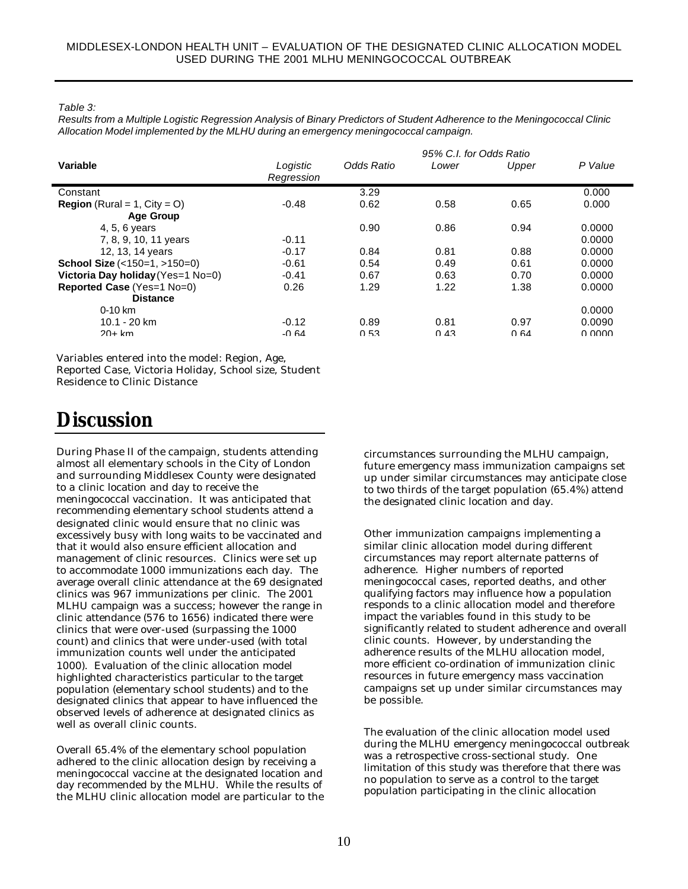*Table 3:*

*Results from a Multiple Logistic Regression Analysis of Binary Predictors of Student Adherence to the Meningococcal Clinic Allocation Model implemented by the MLHU during an emergency meningococcal campaign.*

|                                        |                        | 95% C.I. for Odds Ratio |       |       |         |  |  |
|----------------------------------------|------------------------|-------------------------|-------|-------|---------|--|--|
| Variable                               | Logistic<br>Regression | Odds Ratio              | Lower | Upper | P Value |  |  |
| Constant                               |                        | 3.29                    |       |       | 0.000   |  |  |
| <b>Region</b> (Rural = 1, $City = O$ ) | $-0.48$                | 0.62                    | 0.58  | 0.65  | 0.000   |  |  |
| <b>Age Group</b>                       |                        |                         |       |       |         |  |  |
| 4, 5, 6 years                          |                        | 0.90                    | 0.86  | 0.94  | 0.0000  |  |  |
| 7, 8, 9, 10, 11 years                  | $-0.11$                |                         |       |       | 0.0000  |  |  |
| 12, 13, 14 years                       | $-0.17$                | 0.84                    | 0.81  | 0.88  | 0.0000  |  |  |
| <b>School Size</b> $($ <150=1, >150=0) | $-0.61$                | 0.54                    | 0.49  | 0.61  | 0.0000  |  |  |
| Victoria Day holiday (Yes=1 No=0)      | $-0.41$                | 0.67                    | 0.63  | 0.70  | 0.0000  |  |  |
| <b>Reported Case (Yes=1 No=0)</b>      | 0.26                   | 1.29                    | 1.22  | 1.38  | 0.0000  |  |  |
| <b>Distance</b>                        |                        |                         |       |       |         |  |  |
| $0-10$ km                              |                        |                         |       |       | 0.0000  |  |  |
| $10.1 - 20$ km                         | $-0.12$                | 0.89                    | 0.81  | 0.97  | 0.0090  |  |  |
| $20+km$                                | -0 $64$                | 0.53                    | 0.43  | 0.64  | n nnnn  |  |  |

Variables entered into the model: Region, Age,

Reported Case, Victoria Holiday, School size, Student Residence to Clinic Distance

## **Discussion**

During Phase II of the campaign, students attending almost all elementary schools in the City of London and surrounding Middlesex County were designated to a clinic location and day to receive the meningococcal vaccination. It was anticipated that recommending elementary school students attend a designated clinic would ensure that no clinic was excessively busy with long waits to be vaccinated and that it would also ensure efficient allocation and management of clinic resources. Clinics were set up to accommodate 1000 immunizations each day. The average overall clinic attendance at the 69 designated clinics was 967 immunizations per clinic. The 2001 MLHU campaign was a success; however the range in clinic attendance (576 to 1656) indicated there were clinics that were over-used (surpassing the 1000 count) and clinics that were under-used (with total immunization counts well under the anticipated 1000). Evaluation of the clinic allocation model highlighted characteristics particular to the target population (elementary school students) and to the designated clinics that appear to have influenced the observed levels of adherence at designated clinics as well as overall clinic counts.

Overall 65.4% of the elementary school population adhered to the clinic allocation design by receiving a meningococcal vaccine at the designated location and day recommended by the MLHU. While the results of the MLHU clinic allocation model are particular to the circumstances surrounding the MLHU campaign, future emergency mass immunization campaigns set up under similar circumstances may anticipate close to two thirds of the target population (65.4%) attend the designated clinic location and day.

Other immunization campaigns implementing a similar clinic allocation model during different circumstances may report alternate patterns of adherence. Higher numbers of reported meningococcal cases, reported deaths, and other qualifying factors may influence how a population responds to a clinic allocation model and therefore impact the variables found in this study to be significantly related to student adherence and overall clinic counts. However, by understanding the adherence results of the MLHU allocation model, more efficient co-ordination of immunization clinic resources in future emergency mass vaccination campaigns set up under similar circumstances may be possible.

The evaluation of the clinic allocation model used during the MLHU emergency meningococcal outbreak was a retrospective cross-sectional study. One limitation of this study was therefore that there was no population to serve as a control to the target population participating in the clinic allocation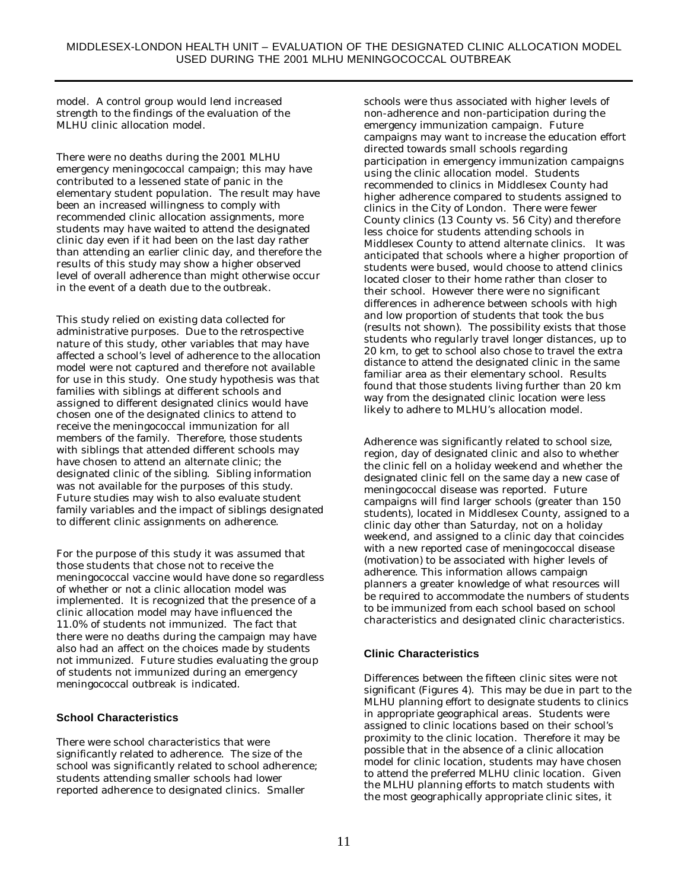model. A control group would lend increased strength to the findings of the evaluation of the MLHU clinic allocation model.

There were no deaths during the 2001 MLHU emergency meningococcal campaign; this may have contributed to a lessened state of panic in the elementary student population. The result may have been an increased willingness to comply with recommended clinic allocation assignments, more students may have waited to attend the designated clinic day even if it had been on the last day rather than attending an earlier clinic day, and therefore the results of this study may show a higher observed level of overall adherence than might otherwise occur in the event of a death due to the outbreak.

This study relied on existing data collected for administrative purposes. Due to the retrospective nature of this study, other variables that may have affected a school's level of adherence to the allocation model were not captured and therefore not available for use in this study. One study hypothesis was that families with siblings at different schools and assigned to different designated clinics would have chosen one of the designated clinics to attend to receive the meningococcal immunization for all members of the family. Therefore, those students with siblings that attended different schools may have chosen to attend an alternate clinic; the designated clinic of the sibling. Sibling information was not available for the purposes of this study. Future studies may wish to also evaluate student family variables and the impact of siblings designated to different clinic assignments on adherence.

For the purpose of this study it was assumed that those students that chose not to receive the meningococcal vaccine would have done so regardless of whether or not a clinic allocation model was implemented. It is recognized that the presence of a clinic allocation model may have influenced the 11.0% of students not immunized. The fact that there were no deaths during the campaign may have also had an affect on the choices made by students not immunized. Future studies evaluating the group of students not immunized during an emergency meningococcal outbreak is indicated.

#### **School Characteristics**

There were school characteristics that were significantly related to adherence. The size of the school was significantly related to school adherence; students attending smaller schools had lower reported adherence to designated clinics. Smaller

schools were thus associated with higher levels of non-adherence and non-participation during the emergency immunization campaign. Future campaigns may want to increase the education effort directed towards small schools regarding participation in emergency immunization campaigns using the clinic allocation model. Students recommended to clinics in Middlesex County had higher adherence compared to students assigned to clinics in the City of London. There were fewer County clinics (13 County vs. 56 City) and therefore less choice for students attending schools in Middlesex County to attend alternate clinics. It was anticipated that schools where a higher proportion of students were bused, would choose to attend clinics located closer to their home rather than closer to their school. However there were no significant differences in adherence between schools with high and low proportion of students that took the bus (results not shown). The possibility exists that those students who regularly travel longer distances, up to 20 km, to get to school also chose to travel the extra distance to attend the designated clinic in the same familiar area as their elementary school. Results found that those students living further than 20 km way from the designated clinic location were less likely to adhere to MLHU's allocation model.

Adherence was significantly related to school size, region, day of designated clinic and also to whether the clinic fell on a holiday weekend and whether the designated clinic fell on the same day a new case of meningococcal disease was reported. Future campaigns will find larger schools (greater than 150 students), located in Middlesex County, assigned to a clinic day other than Saturday, not on a holiday weekend, and assigned to a clinic day that coincides with a new reported case of meningococcal disease (motivation) to be associated with higher levels of adherence. This information allows campaign planners a greater knowledge of what resources will be required to accommodate the numbers of students to be immunized from each school based on school characteristics and designated clinic characteristics.

#### **Clinic Characteristics**

Differences between the fifteen clinic sites were not significant (Figures 4). This may be due in part to the MLHU planning effort to designate students to clinics in appropriate geographical areas. Students were assigned to clinic locations based on their school's proximity to the clinic location. Therefore it may be possible that in the absence of a clinic allocation model for clinic location, students may have chosen to attend the preferred MLHU clinic location. Given the MLHU planning efforts to match students with the most geographically appropriate clinic sites, it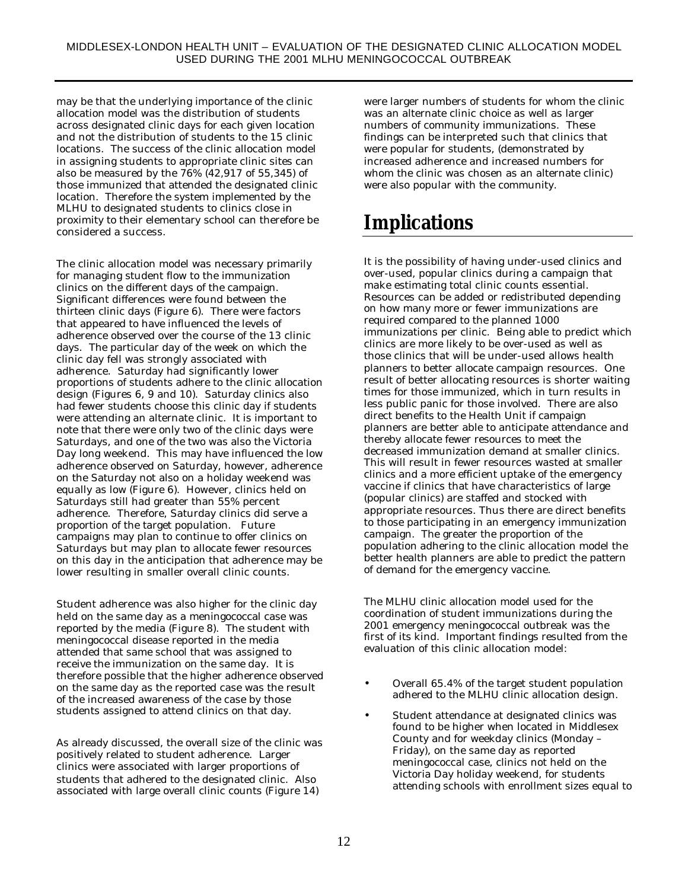may be that the underlying importance of the clinic allocation model was the distribution of students across designated clinic days for each given location and not the distribution of students to the 15 clinic locations. The success of the clinic allocation model in assigning students to appropriate clinic sites can also be measured by the 76% (42,917 of 55,345) of those immunized that attended the designated clinic location. Therefore the system implemented by the MLHU to designated students to clinics close in proximity to their elementary school can therefore be considered a success.

The clinic allocation model was necessary primarily for managing student flow to the immunization clinics on the different days of the campaign. Significant differences were found between the thirteen clinic days (Figure 6). There were factors that appeared to have influenced the levels of adherence observed over the course of the 13 clinic days. The particular day of the week on which the clinic day fell was strongly associated with adherence. Saturday had significantly lower proportions of students adhere to the clinic allocation design (Figures 6, 9 and 10). Saturday clinics also had fewer students choose this clinic day if students were attending an alternate clinic. It is important to note that there were only two of the clinic days were Saturdays, and one of the two was also the Victoria Day long weekend. This may have influenced the low adherence observed on Saturday, however, adherence on the Saturday not also on a holiday weekend was equally as low (Figure 6). However, clinics held on Saturdays still had greater than 55% percent adherence. Therefore, Saturday clinics did serve a proportion of the target population. Future campaigns may plan to continue to offer clinics on Saturdays but may plan to allocate fewer resources on this day in the anticipation that adherence may be lower resulting in smaller overall clinic counts.

Student adherence was also higher for the clinic day held on the same day as a meningococcal case was reported by the media (Figure 8). The student with meningococcal disease reported in the media attended that same school that was assigned to receive the immunization on the same day. It is therefore possible that the higher adherence observed on the same day as the reported case was the result of the increased awareness of the case by those students assigned to attend clinics on that day.

As already discussed, the overall size of the clinic was positively related to student adherence. Larger clinics were associated with larger proportions of students that adhered to the designated clinic. Also associated with large overall clinic counts (Figure 14)

were larger numbers of students for whom the clinic was an alternate clinic choice as well as larger numbers of community immunizations. These findings can be interpreted such that clinics that were popular for students, (demonstrated by increased adherence and increased numbers for whom the clinic was chosen as an alternate clinic) were also popular with the community.

## **Implications**

It is the possibility of having under-used clinics and over-used, popular clinics during a campaign that make estimating total clinic counts essential. Resources can be added or redistributed depending on how many more or fewer immunizations are required compared to the planned 1000 immunizations per clinic. Being able to predict which clinics are more likely to be over-used as well as those clinics that will be under-used allows health planners to better allocate campaign resources. One result of better allocating resources is shorter waiting times for those immunized, which in turn results in less public panic for those involved. There are also direct benefits to the Health Unit if campaign planners are better able to anticipate attendance and thereby allocate fewer resources to meet the decreased immunization demand at smaller clinics. This will result in fewer resources wasted at smaller clinics and a more efficient uptake of the emergency vaccine if clinics that have characteristics of large (popular clinics) are staffed and stocked with appropriate resources. Thus there are direct benefits to those participating in an emergency immunization campaign. The greater the proportion of the population adhering to the clinic allocation model the better health planners are able to predict the pattern of demand for the emergency vaccine.

The MLHU clinic allocation model used for the coordination of student immunizations during the 2001 emergency meningococcal outbreak was the first of its kind. Important findings resulted from the evaluation of this clinic allocation model:

- Overall 65.4% of the target student population adhered to the MLHU clinic allocation design.
- Student attendance at designated clinics was found to be higher when located in Middlesex County and for weekday clinics (Monday – Friday), on the same day as reported meningococcal case, clinics not held on the Victoria Day holiday weekend, for students attending schools with enrollment sizes equal to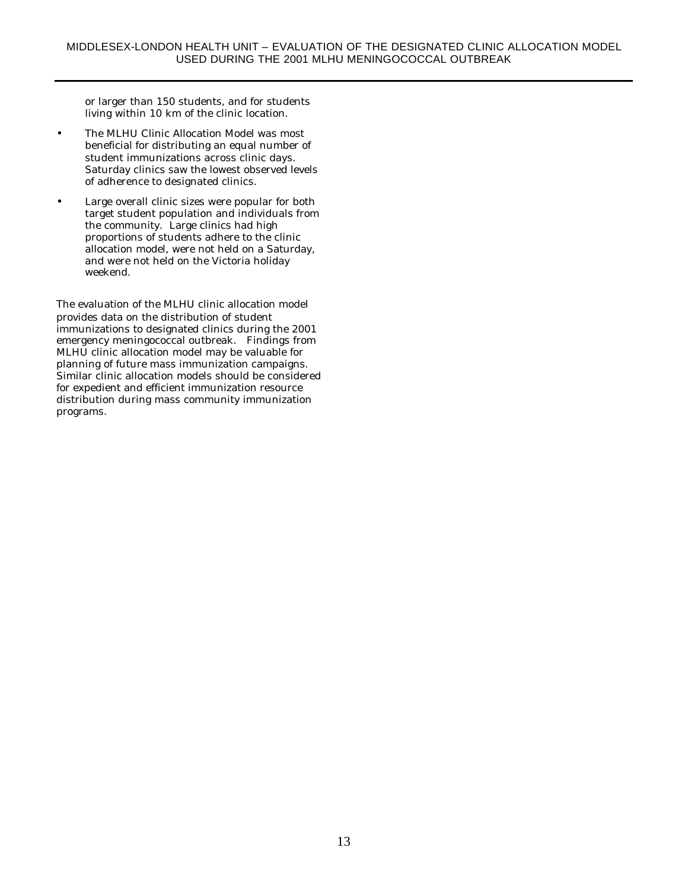or larger than 150 students, and for students living within 10 km of the clinic location.

- The MLHU Clinic Allocation Model was most beneficial for distributing an equal number of student immunizations across clinic days. Saturday clinics saw the lowest observed levels of adherence to designated clinics.
- Large overall clinic sizes were popular for both target student population and individuals from the community. Large clinics had high proportions of students adhere to the clinic allocation model, were not held on a Saturday, and were not held on the Victoria holiday weekend.

The evaluation of the MLHU clinic allocation model provides data on the distribution of student immunizations to designated clinics during the 2001 emergency meningococcal outbreak. Findings from MLHU clinic allocation model may be valuable for planning of future mass immunization campaigns. Similar clinic allocation models should be considered for expedient and efficient immunization resource distribution during mass community immunization programs.